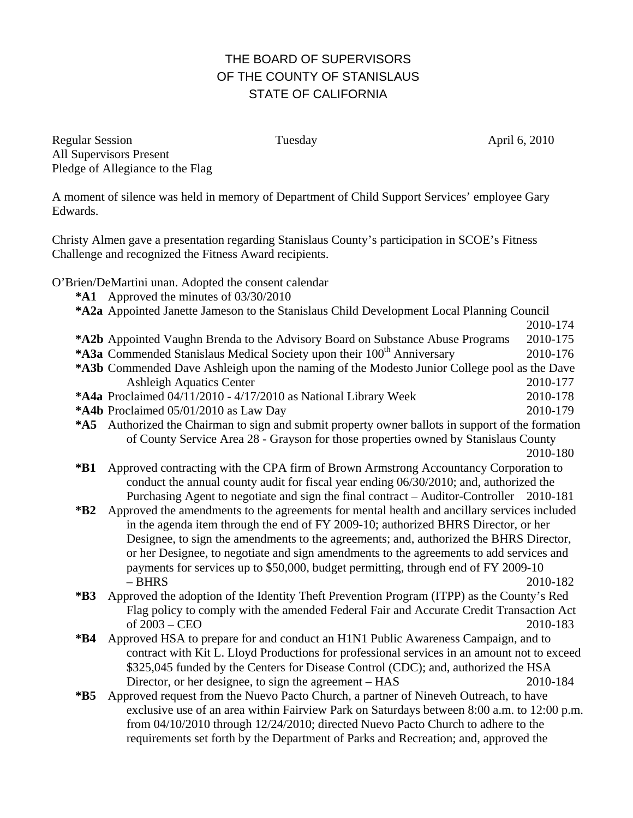## THE BOARD OF SUPERVISORS OF THE COUNTY OF STANISLAUS STATE OF CALIFORNIA

Regular Session Tuesday April 6, 2010 All Supervisors Present Pledge of Allegiance to the Flag

A moment of silence was held in memory of Department of Child Support Services' employee Gary Edwards.

Christy Almen gave a presentation regarding Stanislaus County's participation in SCOE's Fitness Challenge and recognized the Fitness Award recipients.

O'Brien/DeMartini unan. Adopted the consent calendar

- **\*A1** Approved the minutes of 03/30/2010
- **\*A2a** Appointed Janette Jameson to the Stanislaus Child Development Local Planning Council
- 2010-174 **\*A2b** Appointed Vaughn Brenda to the Advisory Board on Substance Abuse Programs 2010-175 **\*A3a** Commended Stanislaus Medical Society upon their 100<sup>th</sup> Anniversary 2010-176 **\*A3b** Commended Dave Ashleigh upon the naming of the Modesto Junior College pool as the Dave Ashleigh Aquatics Center 2010-177 **\*A4a** Proclaimed 04/11/2010 - 4/17/2010 as National Library Week 2010-178 **\*A4b** Proclaimed 05/01/2010 as Law Day 2010-179
- 
- **\*A5** Authorized the Chairman to sign and submit property owner ballots in support of the formation of County Service Area 28 - Grayson for those properties owned by Stanislaus County

2010-180

- **\*B1** Approved contracting with the CPA firm of Brown Armstrong Accountancy Corporation to conduct the annual county audit for fiscal year ending 06/30/2010; and, authorized the Purchasing Agent to negotiate and sign the final contract – Auditor-Controller 2010-181
- **\*B2** Approved the amendments to the agreements for mental health and ancillary services included in the agenda item through the end of FY 2009-10; authorized BHRS Director, or her Designee, to sign the amendments to the agreements; and, authorized the BHRS Director, or her Designee, to negotiate and sign amendments to the agreements to add services and payments for services up to \$50,000, budget permitting, through end of FY 2009-10 – BHRS 2010-182
- **\*B3** Approved the adoption of the Identity Theft Prevention Program (ITPP) as the County's Red Flag policy to comply with the amended Federal Fair and Accurate Credit Transaction Act of 2003 – CEO 2010-183
- **\*B4** Approved HSA to prepare for and conduct an H1N1 Public Awareness Campaign, and to contract with Kit L. Lloyd Productions for professional services in an amount not to exceed \$325,045 funded by the Centers for Disease Control (CDC); and, authorized the HSA Director, or her designee, to sign the agreement – HAS 2010-184
- **\*B5** Approved request from the Nuevo Pacto Church, a partner of Nineveh Outreach, to have exclusive use of an area within Fairview Park on Saturdays between 8:00 a.m. to 12:00 p.m. from 04/10/2010 through 12/24/2010; directed Nuevo Pacto Church to adhere to the requirements set forth by the Department of Parks and Recreation; and, approved the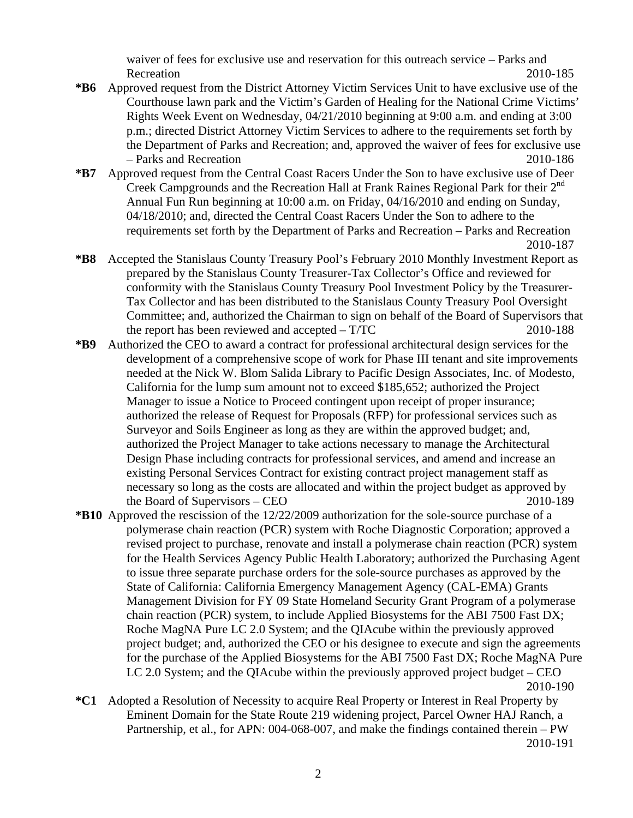waiver of fees for exclusive use and reservation for this outreach service – Parks and Recreation 2010-185

- **\*B6** Approved request from the District Attorney Victim Services Unit to have exclusive use of the Courthouse lawn park and the Victim's Garden of Healing for the National Crime Victims' Rights Week Event on Wednesday, 04/21/2010 beginning at 9:00 a.m. and ending at 3:00 p.m.; directed District Attorney Victim Services to adhere to the requirements set forth by the Department of Parks and Recreation; and, approved the waiver of fees for exclusive use – Parks and Recreation 2010-186
- **\*B7** Approved request from the Central Coast Racers Under the Son to have exclusive use of Deer Creek Campgrounds and the Recreation Hall at Frank Raines Regional Park for their 2<sup>nd</sup> Annual Fun Run beginning at 10:00 a.m. on Friday, 04/16/2010 and ending on Sunday, 04/18/2010; and, directed the Central Coast Racers Under the Son to adhere to the requirements set forth by the Department of Parks and Recreation – Parks and Recreation 2010-187
- **\*B8** Accepted the Stanislaus County Treasury Pool's February 2010 Monthly Investment Report as prepared by the Stanislaus County Treasurer-Tax Collector's Office and reviewed for conformity with the Stanislaus County Treasury Pool Investment Policy by the Treasurer-Tax Collector and has been distributed to the Stanislaus County Treasury Pool Oversight Committee; and, authorized the Chairman to sign on behalf of the Board of Supervisors that the report has been reviewed and accepted  $- T/TC$  2010-188
- **\*B9** Authorized the CEO to award a contract for professional architectural design services for the development of a comprehensive scope of work for Phase III tenant and site improvements needed at the Nick W. Blom Salida Library to Pacific Design Associates, Inc. of Modesto, California for the lump sum amount not to exceed \$185,652; authorized the Project Manager to issue a Notice to Proceed contingent upon receipt of proper insurance; authorized the release of Request for Proposals (RFP) for professional services such as Surveyor and Soils Engineer as long as they are within the approved budget; and, authorized the Project Manager to take actions necessary to manage the Architectural Design Phase including contracts for professional services, and amend and increase an existing Personal Services Contract for existing contract project management staff as necessary so long as the costs are allocated and within the project budget as approved by the Board of Supervisors – CEO 2010-189
- **\*B10** Approved the rescission of the 12/22/2009 authorization for the sole-source purchase of a polymerase chain reaction (PCR) system with Roche Diagnostic Corporation; approved a revised project to purchase, renovate and install a polymerase chain reaction (PCR) system for the Health Services Agency Public Health Laboratory; authorized the Purchasing Agent to issue three separate purchase orders for the sole-source purchases as approved by the State of California: California Emergency Management Agency (CAL-EMA) Grants Management Division for FY 09 State Homeland Security Grant Program of a polymerase chain reaction (PCR) system, to include Applied Biosystems for the ABI 7500 Fast DX; Roche MagNA Pure LC 2.0 System; and the QIAcube within the previously approved project budget; and, authorized the CEO or his designee to execute and sign the agreements for the purchase of the Applied Biosystems for the ABI 7500 Fast DX; Roche MagNA Pure LC 2.0 System; and the QIAcube within the previously approved project budget – CEO 2010-190
- **\*C1** Adopted a Resolution of Necessity to acquire Real Property or Interest in Real Property by Eminent Domain for the State Route 219 widening project, Parcel Owner HAJ Ranch, a Partnership, et al., for APN: 004-068-007, and make the findings contained therein – PW 2010-191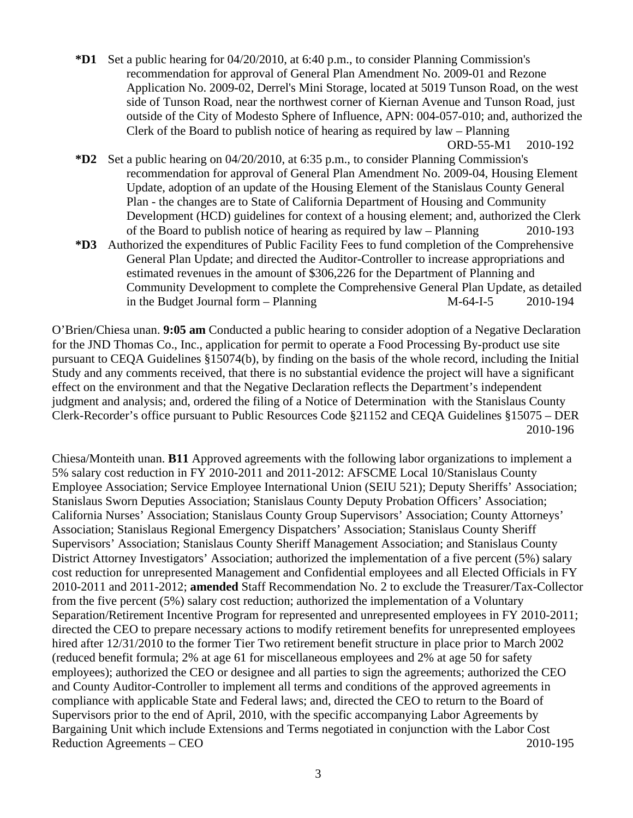**\*D1** Set a public hearing for 04/20/2010, at 6:40 p.m., to consider Planning Commission's recommendation for approval of General Plan Amendment No. 2009-01 and Rezone Application No. 2009-02, Derrel's Mini Storage, located at 5019 Tunson Road, on the west side of Tunson Road, near the northwest corner of Kiernan Avenue and Tunson Road, just outside of the City of Modesto Sphere of Influence, APN: 004-057-010; and, authorized the Clerk of the Board to publish notice of hearing as required by law – Planning

ORD-55-M1 2010-192

- **\*D2** Set a public hearing on 04/20/2010, at 6:35 p.m., to consider Planning Commission's recommendation for approval of General Plan Amendment No. 2009-04, Housing Element Update, adoption of an update of the Housing Element of the Stanislaus County General Plan - the changes are to State of California Department of Housing and Community Development (HCD) guidelines for context of a housing element; and, authorized the Clerk of the Board to publish notice of hearing as required by law – Planning 2010-193
- **\*D3** Authorized the expenditures of Public Facility Fees to fund completion of the Comprehensive General Plan Update; and directed the Auditor-Controller to increase appropriations and estimated revenues in the amount of \$306,226 for the Department of Planning and Community Development to complete the Comprehensive General Plan Update, as detailed in the Budget Journal form – Planning M-64-I-5 2010-194

O'Brien/Chiesa unan. **9:05 am** Conducted a public hearing to consider adoption of a Negative Declaration for the JND Thomas Co., Inc., application for permit to operate a Food Processing By-product use site pursuant to CEQA Guidelines §15074(b), by finding on the basis of the whole record, including the Initial Study and any comments received, that there is no substantial evidence the project will have a significant effect on the environment and that the Negative Declaration reflects the Department's independent judgment and analysis; and, ordered the filing of a Notice of Determination with the Stanislaus County Clerk-Recorder's office pursuant to Public Resources Code §21152 and CEQA Guidelines §15075 – DER 2010-196

Chiesa/Monteith unan. **B11** Approved agreements with the following labor organizations to implement a 5% salary cost reduction in FY 2010-2011 and 2011-2012: AFSCME Local 10/Stanislaus County Employee Association; Service Employee International Union (SEIU 521); Deputy Sheriffs' Association; Stanislaus Sworn Deputies Association; Stanislaus County Deputy Probation Officers' Association; California Nurses' Association; Stanislaus County Group Supervisors' Association; County Attorneys' Association; Stanislaus Regional Emergency Dispatchers' Association; Stanislaus County Sheriff Supervisors' Association; Stanislaus County Sheriff Management Association; and Stanislaus County District Attorney Investigators' Association; authorized the implementation of a five percent (5%) salary cost reduction for unrepresented Management and Confidential employees and all Elected Officials in FY 2010-2011 and 2011-2012; **amended** Staff Recommendation No. 2 to exclude the Treasurer/Tax-Collector from the five percent (5%) salary cost reduction; authorized the implementation of a Voluntary Separation/Retirement Incentive Program for represented and unrepresented employees in FY 2010-2011; directed the CEO to prepare necessary actions to modify retirement benefits for unrepresented employees hired after  $12/31/2010$  to the former Tier Two retirement benefit structure in place prior to March 2002 (reduced benefit formula; 2% at age 61 for miscellaneous employees and 2% at age 50 for safety employees); authorized the CEO or designee and all parties to sign the agreements; authorized the CEO and County Auditor-Controller to implement all terms and conditions of the approved agreements in compliance with applicable State and Federal laws; and, directed the CEO to return to the Board of Supervisors prior to the end of April, 2010, with the specific accompanying Labor Agreements by Bargaining Unit which include Extensions and Terms negotiated in conjunction with the Labor Cost Reduction Agreements – CEO 2010-195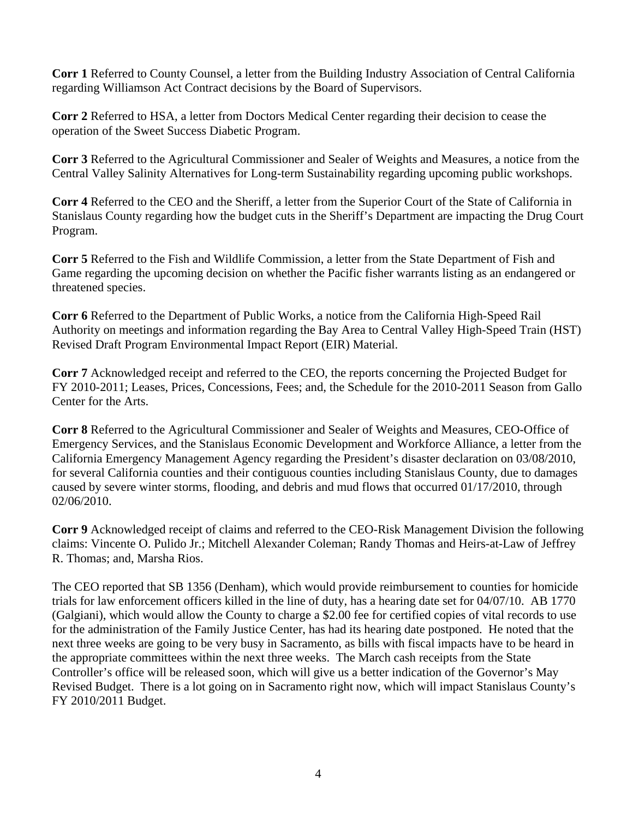**Corr 1** Referred to County Counsel, a letter from the Building Industry Association of Central California regarding Williamson Act Contract decisions by the Board of Supervisors.

**Corr 2** Referred to HSA, a letter from Doctors Medical Center regarding their decision to cease the operation of the Sweet Success Diabetic Program.

**Corr 3** Referred to the Agricultural Commissioner and Sealer of Weights and Measures, a notice from the Central Valley Salinity Alternatives for Long-term Sustainability regarding upcoming public workshops.

**Corr 4** Referred to the CEO and the Sheriff, a letter from the Superior Court of the State of California in Stanislaus County regarding how the budget cuts in the Sheriff's Department are impacting the Drug Court Program.

**Corr 5** Referred to the Fish and Wildlife Commission, a letter from the State Department of Fish and Game regarding the upcoming decision on whether the Pacific fisher warrants listing as an endangered or threatened species.

**Corr 6** Referred to the Department of Public Works, a notice from the California High-Speed Rail Authority on meetings and information regarding the Bay Area to Central Valley High-Speed Train (HST) Revised Draft Program Environmental Impact Report (EIR) Material.

**Corr 7** Acknowledged receipt and referred to the CEO, the reports concerning the Projected Budget for FY 2010-2011; Leases, Prices, Concessions, Fees; and, the Schedule for the 2010-2011 Season from Gallo Center for the Arts.

**Corr 8** Referred to the Agricultural Commissioner and Sealer of Weights and Measures, CEO-Office of Emergency Services, and the Stanislaus Economic Development and Workforce Alliance, a letter from the California Emergency Management Agency regarding the President's disaster declaration on 03/08/2010, for several California counties and their contiguous counties including Stanislaus County, due to damages caused by severe winter storms, flooding, and debris and mud flows that occurred 01/17/2010, through 02/06/2010.

**Corr 9** Acknowledged receipt of claims and referred to the CEO-Risk Management Division the following claims: Vincente O. Pulido Jr.; Mitchell Alexander Coleman; Randy Thomas and Heirs-at-Law of Jeffrey R. Thomas; and, Marsha Rios.

The CEO reported that SB 1356 (Denham), which would provide reimbursement to counties for homicide trials for law enforcement officers killed in the line of duty, has a hearing date set for 04/07/10. AB 1770 (Galgiani), which would allow the County to charge a \$2.00 fee for certified copies of vital records to use for the administration of the Family Justice Center, has had its hearing date postponed. He noted that the next three weeks are going to be very busy in Sacramento, as bills with fiscal impacts have to be heard in the appropriate committees within the next three weeks. The March cash receipts from the State Controller's office will be released soon, which will give us a better indication of the Governor's May Revised Budget. There is a lot going on in Sacramento right now, which will impact Stanislaus County's FY 2010/2011 Budget.